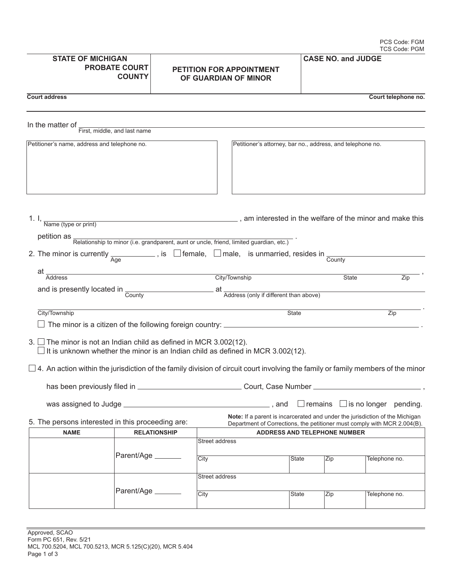|                                                                           | <b>STATE OF MICHIGAN</b><br><b>PROBATE COURT</b><br><b>COUNTY</b> |  | <b>PETITION FOR APPOINTMENT</b><br>OF GUARDIAN OF MINOR                                                                                                  | <b>CASE NO. and JUDGE</b> |              |                                               |
|---------------------------------------------------------------------------|-------------------------------------------------------------------|--|----------------------------------------------------------------------------------------------------------------------------------------------------------|---------------------------|--------------|-----------------------------------------------|
| <b>Court address</b>                                                      |                                                                   |  |                                                                                                                                                          |                           |              | Court telephone no.                           |
| In the matter of                                                          | First, middle, and last name                                      |  |                                                                                                                                                          |                           |              |                                               |
| Petitioner's name, address and telephone no.                              |                                                                   |  | Petitioner's attorney, bar no., address, and telephone no.                                                                                               |                           |              |                                               |
|                                                                           |                                                                   |  | 1. I, $\frac{1}{\text{Name (type or print)}}$ am interested in the welfare of the minor and make this                                                    |                           |              |                                               |
|                                                                           |                                                                   |  | petition as <b>Relationship to minor (i.e. grandparent</b> , aunt or uncle, friend, limited guardian, etc.)                                              |                           |              |                                               |
|                                                                           |                                                                   |  | 2. The minor is currently $\frac{1}{\text{Age}}$ , is $\Box$ female, $\Box$ male, is unmarried, resides in $\frac{1}{\text{Country}}$                    |                           |              |                                               |
|                                                                           |                                                                   |  |                                                                                                                                                          |                           |              |                                               |
| at _<br><b>Address</b>                                                    |                                                                   |  | City/Township                                                                                                                                            |                           | <b>State</b> | Zip                                           |
|                                                                           |                                                                   |  | and is presently located in County County at Address (only if different than above)                                                                      |                           |              |                                               |
|                                                                           |                                                                   |  |                                                                                                                                                          |                           |              |                                               |
| City/Township                                                             |                                                                   |  |                                                                                                                                                          | <b>State</b>              |              | Zip                                           |
|                                                                           |                                                                   |  |                                                                                                                                                          |                           |              |                                               |
| 3. $\Box$ The minor is not an Indian child as defined in MCR 3.002(12).   |                                                                   |  |                                                                                                                                                          |                           |              |                                               |
|                                                                           |                                                                   |  | $\Box$ It is unknown whether the minor is an Indian child as defined in MCR 3.002(12).                                                                   |                           |              |                                               |
|                                                                           |                                                                   |  |                                                                                                                                                          |                           |              |                                               |
| has been previously filed in _                                            |                                                                   |  | Court, Case Number                                                                                                                                       |                           |              |                                               |
|                                                                           |                                                                   |  |                                                                                                                                                          |                           |              |                                               |
|                                                                           |                                                                   |  | $\_$ , and                                                                                                                                               |                           |              | $\perp$ remains $\perp$ is no longer pending. |
| 5. The persons interested in this proceeding are:                         |                                                                   |  | Note: If a parent is incarcerated and under the jurisdiction of the Michigan<br>Department of Corrections, the petitioner must comply with MCR 2.004(B). |                           |              |                                               |
| <b>NAME</b><br><b>RELATIONSHIP</b><br><b>ADDRESS AND TELEPHONE NUMBER</b> |                                                                   |  |                                                                                                                                                          |                           |              |                                               |
|                                                                           |                                                                   |  | <b>Street address</b>                                                                                                                                    |                           |              |                                               |
|                                                                           | Parent/Age _______                                                |  | City                                                                                                                                                     | State                     | Zip          | Telephone no.                                 |
|                                                                           |                                                                   |  | Street address                                                                                                                                           |                           |              |                                               |
|                                                                           |                                                                   |  |                                                                                                                                                          |                           |              |                                               |
|                                                                           | Parent/Age _______                                                |  | City                                                                                                                                                     | State                     | Zip          | Telephone no.                                 |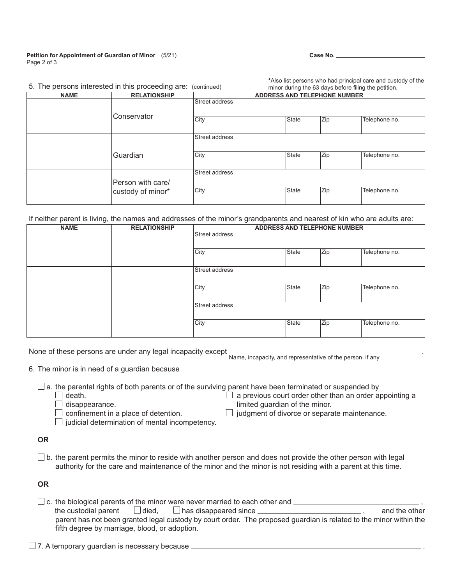## **Petition for Appointment of Guardian of Minor** (5/21) Page 2 of 3

| w. | л<br>۰, |
|----|---------|
|----|---------|

**\***Also list persons who had principal care and custody of the

|             | 5. The persons interested in this proceeding are: (continued) |                                     |              |     | minor during the 63 days before filing the petition. |
|-------------|---------------------------------------------------------------|-------------------------------------|--------------|-----|------------------------------------------------------|
| <b>NAME</b> | <b>RELATIONSHIP</b>                                           | <b>ADDRESS AND TELEPHONE NUMBER</b> |              |     |                                                      |
|             |                                                               | Street address                      |              |     |                                                      |
|             | lConservator                                                  | City                                | <b>State</b> | Zip | Telephone no.                                        |
|             |                                                               | Street address                      |              |     |                                                      |
|             | Guardian                                                      | City                                | State        | Zip | Telephone no.                                        |
|             | Person with care/                                             | Street address                      |              |     |                                                      |
|             | custody of minor*                                             | City                                | <b>State</b> | Zip | Telephone no.                                        |

If neither parent is living, the names and addresses of the minor's grandparents and nearest of kin who are adults are:

| <b>NAME</b> | <b>RELATIONSHIP</b> | <b>ADDRESS AND TELEPHONE NUMBER</b> |              |     |               |
|-------------|---------------------|-------------------------------------|--------------|-----|---------------|
|             |                     | Street address                      |              |     |               |
|             |                     | City                                | <b>State</b> | Zip | Telephone no. |
|             |                     | Street address                      |              |     |               |
|             |                     | City                                | <b>State</b> | Zip | Telephone no. |
|             |                     | Street address                      |              |     |               |
|             |                     | City                                | <b>State</b> | Zip | Telephone no. |

None of these persons are under any legal incapacity except  $\frac{1}{\text{Name}}$ , incapacity, and representative of the person, if any

 $\Box$  judgment of divorce or separate maintenance.

- 6. The minor is in need of a guardian because
	- $\square$  a. the parental rights of both parents or of the surviving parent have been terminated or suspended by  $\square$  death.  $\Box$  death. death.  $\Box$  death.  $\Box$  a previous court order other than an order appointing a disappearance.
		-

|  |  | a previous court order other than a                                                                                                                                                                                                                                                                         |  |  |
|--|--|-------------------------------------------------------------------------------------------------------------------------------------------------------------------------------------------------------------------------------------------------------------------------------------------------------------|--|--|
|  |  | $\mathbf{r}$ , $\mathbf{r}$ , $\mathbf{r}$ , $\mathbf{r}$ , $\mathbf{r}$ , $\mathbf{r}$ , $\mathbf{r}$ , $\mathbf{r}$ , $\mathbf{r}$ , $\mathbf{r}$ , $\mathbf{r}$ , $\mathbf{r}$ , $\mathbf{r}$ , $\mathbf{r}$ , $\mathbf{r}$ , $\mathbf{r}$ , $\mathbf{r}$ , $\mathbf{r}$ , $\mathbf{r}$ , $\mathbf{r}$ , |  |  |

 $\Box$  disappearance.<br>  $\Box$  confinement in a place of detention.  $\Box$  judgment of divorce or separa

 $\Box$  judicial determination of mental incompetency.

- **OR**
- $\Box$  b. the parent permits the minor to reside with another person and does not provide the other person with legal authority for the care and maintenance of the minor and the minor is not residing with a parent at this time.

**OR**

 $\Box$  c. the biological parents of the minor were never married to each other and  $\Box$  , and the other in the custodial parent  $\Box$  died,  $\Box$  has disappeared since  $\Box$  $\Box$  has disappeared since  $\Box$  parent has not been granted legal custody by court order. The proposed guardian is related to the minor within the fifth degree by marriage, blood, or adoption.

 $\Box$  7. A temporary guardian is necessary because  $\Box$